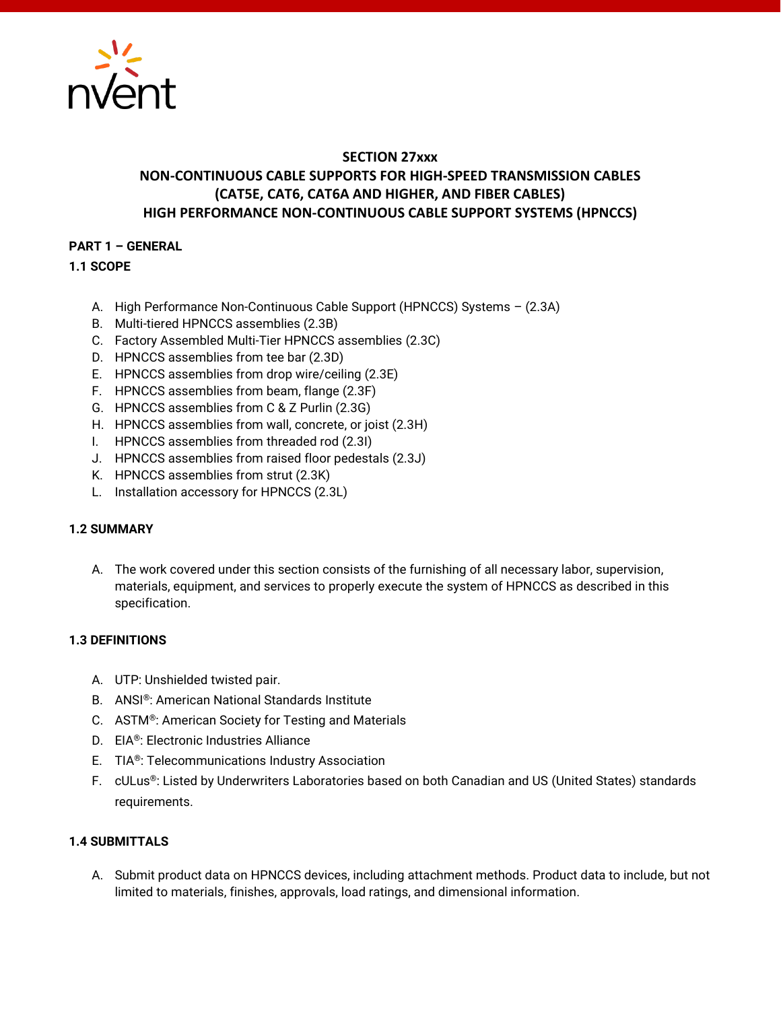

# **SECTION 27xxx NON-CONTINUOUS CABLE SUPPORTS FOR HIGH-SPEED TRANSMISSION CABLES (CAT5E, CAT6, CAT6A AND HIGHER, AND FIBER CABLES) HIGH PERFORMANCE NON-CONTINUOUS CABLE SUPPORT SYSTEMS (HPNCCS)**

# **PART 1 – GENERAL**

**1.1 SCOPE**

- A. High Performance Non-Continuous Cable Support (HPNCCS) Systems (2.3A)
- B. Multi-tiered HPNCCS assemblies (2.3B)
- C. Factory Assembled Multi-Tier HPNCCS assemblies (2.3C)
- D. HPNCCS assemblies from tee bar (2.3D)
- E. HPNCCS assemblies from drop wire/ceiling (2.3E)
- F. HPNCCS assemblies from beam, flange (2.3F)
- G. HPNCCS assemblies from C & Z Purlin (2.3G)
- H. HPNCCS assemblies from wall, concrete, or joist (2.3H)
- I. HPNCCS assemblies from threaded rod (2.3I)
- J. HPNCCS assemblies from raised floor pedestals (2.3J)
- K. HPNCCS assemblies from strut (2.3K)
- L. Installation accessory for HPNCCS (2.3L)

#### **1.2 SUMMARY**

A. The work covered under this section consists of the furnishing of all necessary labor, supervision, materials, equipment, and services to properly execute the system of HPNCCS as described in this specification.

#### **1.3 DEFINITIONS**

- A. UTP: Unshielded twisted pair.
- B. ANSI®: American National Standards Institute
- C. ASTM®: American Society for Testing and Materials
- D. EIA®: Electronic Industries Alliance
- E. TIA®: Telecommunications Industry Association
- F. cULus®: Listed by Underwriters Laboratories based on both Canadian and US (United States) standards requirements.

### **1.4 SUBMITTALS**

A. Submit product data on HPNCCS devices, including attachment methods. Product data to include, but not limited to materials, finishes, approvals, load ratings, and dimensional information.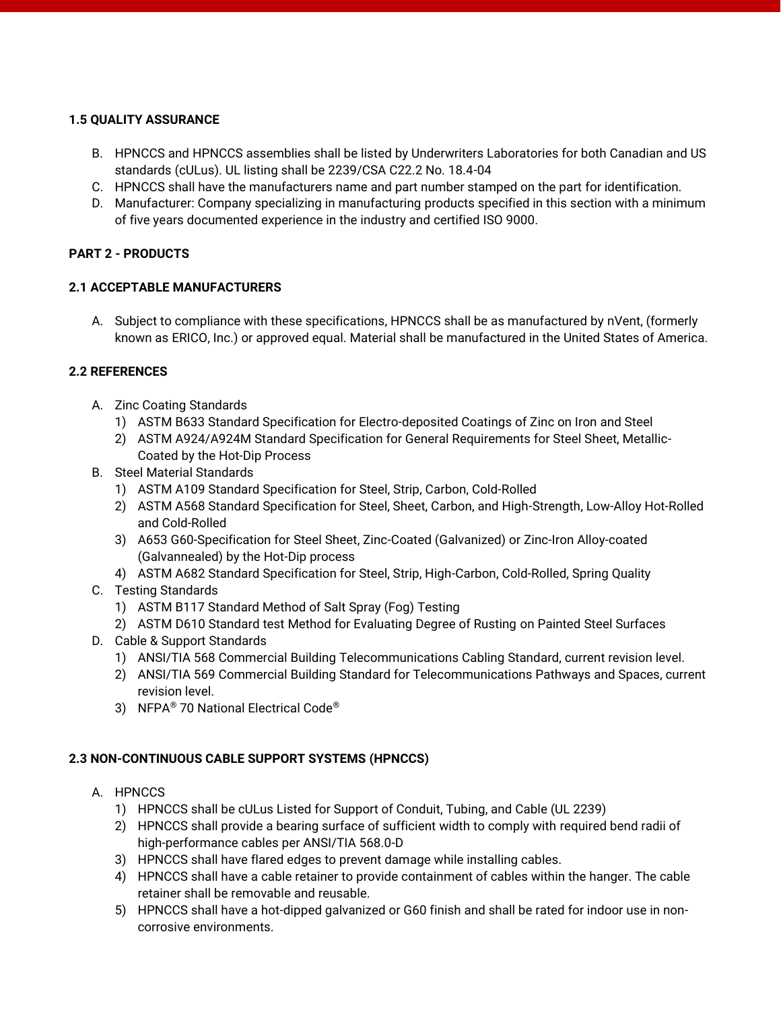### **1.5 QUALITY ASSURANCE**

- B. HPNCCS and HPNCCS assemblies shall be listed by Underwriters Laboratories for both Canadian and US standards (cULus). UL listing shall be 2239/CSA C22.2 No. 18.4-04
- C. HPNCCS shall have the manufacturers name and part number stamped on the part for identification.
- D. Manufacturer: Company specializing in manufacturing products specified in this section with a minimum of five years documented experience in the industry and certified ISO 9000.

# **PART 2 - PRODUCTS**

# **2.1 ACCEPTABLE MANUFACTURERS**

A. Subject to compliance with these specifications, HPNCCS shall be as manufactured by nVent, (formerly known as ERICO, Inc.) or approved equal. Material shall be manufactured in the United States of America.

# **2.2 REFERENCES**

- A. Zinc Coating Standards
	- 1) ASTM B633 Standard Specification for Electro-deposited Coatings of Zinc on Iron and Steel
	- 2) ASTM A924/A924M Standard Specification for General Requirements for Steel Sheet, Metallic-Coated by the Hot-Dip Process
- B. Steel Material Standards
	- 1) ASTM A109 Standard Specification for Steel, Strip, Carbon, Cold-Rolled
	- 2) ASTM A568 Standard Specification for Steel, Sheet, Carbon, and High-Strength, Low-Alloy Hot-Rolled and Cold-Rolled
	- 3) A653 G60-Specification for Steel Sheet, Zinc-Coated (Galvanized) or Zinc-Iron Alloy-coated (Galvannealed) by the Hot-Dip process
	- 4) ASTM A682 Standard Specification for Steel, Strip, High-Carbon, Cold-Rolled, Spring Quality
- C. Testing Standards
	- 1) ASTM B117 Standard Method of Salt Spray (Fog) Testing
	- 2) ASTM D610 Standard test Method for Evaluating Degree of Rusting on Painted Steel Surfaces
- D. Cable & Support Standards
	- 1) ANSI/TIA 568 Commercial Building Telecommunications Cabling Standard, current revision level.
	- 2) ANSI/TIA 569 Commercial Building Standard for Telecommunications Pathways and Spaces, current revision level.
	- 3) NFPA® 70 National Electrical Code®

# **2.3 NON-CONTINUOUS CABLE SUPPORT SYSTEMS (HPNCCS)**

- A. HPNCCS
	- 1) HPNCCS shall be cULus Listed for Support of Conduit, Tubing, and Cable (UL 2239)
	- 2) HPNCCS shall provide a bearing surface of sufficient width to comply with required bend radii of high-performance cables per ANSI/TIA 568.0-D
	- 3) HPNCCS shall have flared edges to prevent damage while installing cables.
	- 4) HPNCCS shall have a cable retainer to provide containment of cables within the hanger. The cable retainer shall be removable and reusable.
	- 5) HPNCCS shall have a hot-dipped galvanized or G60 finish and shall be rated for indoor use in noncorrosive environments.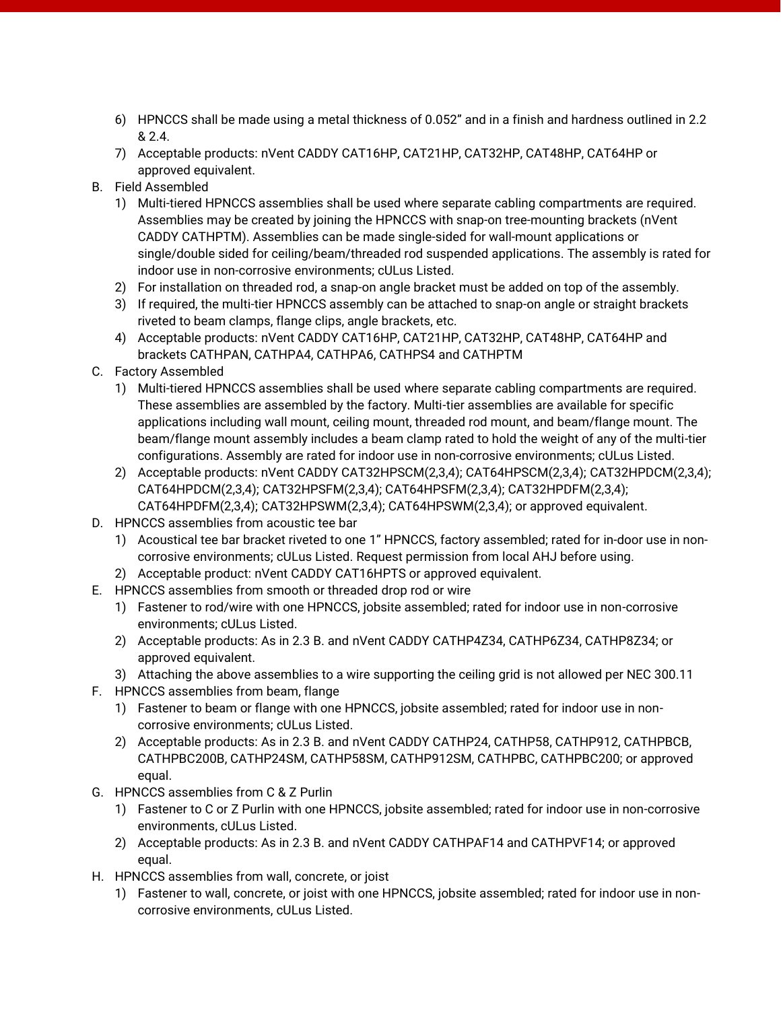- 6) HPNCCS shall be made using a metal thickness of 0.052" and in a finish and hardness outlined in 2.2 & 2.4.
- 7) Acceptable products: nVent CADDY CAT16HP, CAT21HP, CAT32HP, CAT48HP, CAT64HP or approved equivalent.
- B. Field Assembled
	- 1) Multi-tiered HPNCCS assemblies shall be used where separate cabling compartments are required. Assemblies may be created by joining the HPNCCS with snap-on tree-mounting brackets (nVent CADDY CATHPTM). Assemblies can be made single-sided for wall-mount applications or single/double sided for ceiling/beam/threaded rod suspended applications. The assembly is rated for indoor use in non-corrosive environments; cULus Listed.
	- 2) For installation on threaded rod, a snap-on angle bracket must be added on top of the assembly.
	- 3) If required, the multi-tier HPNCCS assembly can be attached to snap-on angle or straight brackets riveted to beam clamps, flange clips, angle brackets, etc.
	- 4) Acceptable products: nVent CADDY CAT16HP, CAT21HP, CAT32HP, CAT48HP, CAT64HP and brackets CATHPAN, CATHPA4, CATHPA6, CATHPS4 and CATHPTM
- C. Factory Assembled
	- 1) Multi-tiered HPNCCS assemblies shall be used where separate cabling compartments are required. These assemblies are assembled by the factory. Multi-tier assemblies are available for specific applications including wall mount, ceiling mount, threaded rod mount, and beam/flange mount. The beam/flange mount assembly includes a beam clamp rated to hold the weight of any of the multi-tier configurations. Assembly are rated for indoor use in non-corrosive environments; cULus Listed.
	- 2) Acceptable products: nVent CADDY CAT32HPSCM(2,3,4); CAT64HPSCM(2,3,4); CAT32HPDCM(2,3,4); CAT64HPDCM(2,3,4); CAT32HPSFM(2,3,4); CAT64HPSFM(2,3,4); CAT32HPDFM(2,3,4); CAT64HPDFM(2,3,4); CAT32HPSWM(2,3,4); CAT64HPSWM(2,3,4); or approved equivalent.
- D. HPNCCS assemblies from acoustic tee bar
	- 1) Acoustical tee bar bracket riveted to one 1" HPNCCS, factory assembled; rated for in-door use in noncorrosive environments; cULus Listed. Request permission from local AHJ before using.
	- 2) Acceptable product: nVent CADDY CAT16HPTS or approved equivalent.
- E. HPNCCS assemblies from smooth or threaded drop rod or wire
	- 1) Fastener to rod/wire with one HPNCCS, jobsite assembled; rated for indoor use in non-corrosive environments; cULus Listed.
	- 2) Acceptable products: As in 2.3 B. and nVent CADDY CATHP4Z34, CATHP6Z34, CATHP8Z34; or approved equivalent.
	- 3) Attaching the above assemblies to a wire supporting the ceiling grid is not allowed per NEC 300.11
- F. HPNCCS assemblies from beam, flange
	- 1) Fastener to beam or flange with one HPNCCS, jobsite assembled; rated for indoor use in noncorrosive environments; cULus Listed.
	- 2) Acceptable products: As in 2.3 B. and nVent CADDY CATHP24, CATHP58, CATHP912, CATHPBCB, CATHPBC200B, CATHP24SM, CATHP58SM, CATHP912SM, CATHPBC, CATHPBC200; or approved equal.
- G. HPNCCS assemblies from C & Z Purlin
	- 1) Fastener to C or Z Purlin with one HPNCCS, jobsite assembled; rated for indoor use in non-corrosive environments, cULus Listed.
	- 2) Acceptable products: As in 2.3 B. and nVent CADDY CATHPAF14 and CATHPVF14; or approved equal.
- H. HPNCCS assemblies from wall, concrete, or joist
	- 1) Fastener to wall, concrete, or joist with one HPNCCS, jobsite assembled; rated for indoor use in noncorrosive environments, cULus Listed.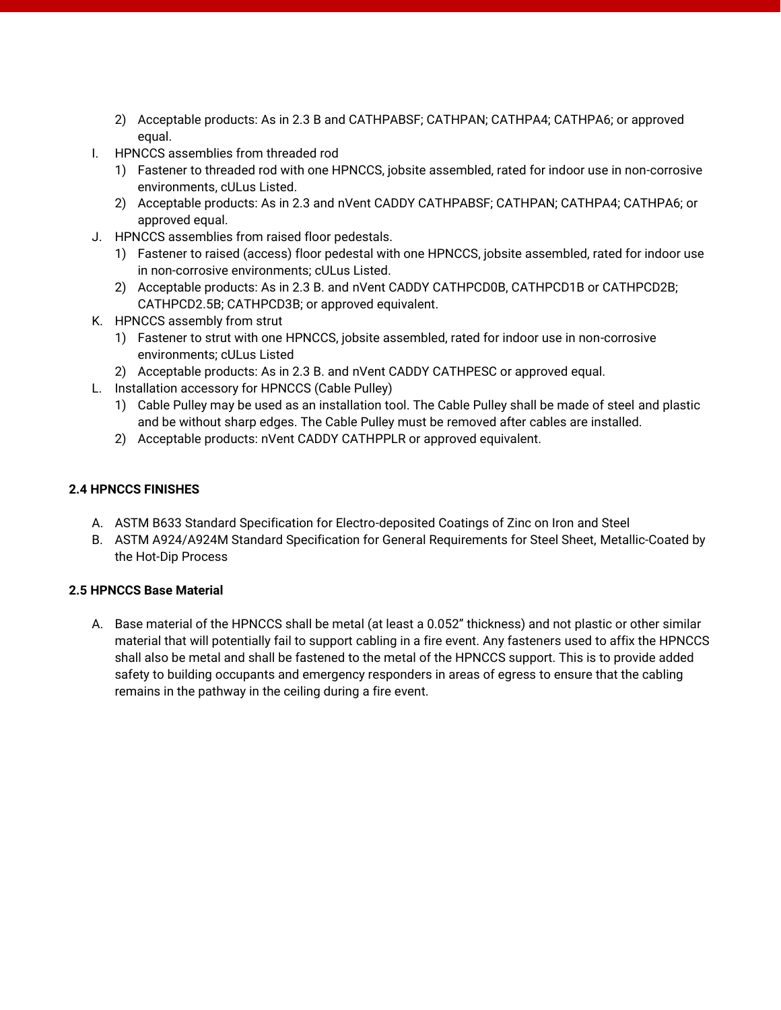- 2) Acceptable products: As in 2.3 B and CATHPABSF; CATHPAN; CATHPA4; CATHPA6; or approved equal.
- I. HPNCCS assemblies from threaded rod
	- 1) Fastener to threaded rod with one HPNCCS, jobsite assembled, rated for indoor use in non-corrosive environments, cULus Listed.
	- 2) Acceptable products: As in 2.3 and nVent CADDY CATHPABSF; CATHPAN; CATHPA4; CATHPA6; or approved equal.
- J. HPNCCS assemblies from raised floor pedestals.
	- 1) Fastener to raised (access) floor pedestal with one HPNCCS, jobsite assembled, rated for indoor use in non-corrosive environments; cULus Listed.
	- 2) Acceptable products: As in 2.3 B. and nVent CADDY CATHPCD0B, CATHPCD1B or CATHPCD2B; CATHPCD2.5B; CATHPCD3B; or approved equivalent.
- K. HPNCCS assembly from strut
	- 1) Fastener to strut with one HPNCCS, jobsite assembled, rated for indoor use in non-corrosive environments; cULus Listed
	- 2) Acceptable products: As in 2.3 B. and nVent CADDY CATHPESC or approved equal.
- L. Installation accessory for HPNCCS (Cable Pulley)
	- 1) Cable Pulley may be used as an installation tool. The Cable Pulley shall be made of steel and plastic and be without sharp edges. The Cable Pulley must be removed after cables are installed.
	- 2) Acceptable products: nVent CADDY CATHPPLR or approved equivalent.

#### **2.4 HPNCCS FINISHES**

- A. ASTM B633 Standard Specification for Electro-deposited Coatings of Zinc on Iron and Steel
- B. ASTM A924/A924M Standard Specification for General Requirements for Steel Sheet, Metallic-Coated by the Hot-Dip Process

#### **2.5 HPNCCS Base Material**

A. Base material of the HPNCCS shall be metal (at least a 0.052" thickness) and not plastic or other similar material that will potentially fail to support cabling in a fire event. Any fasteners used to affix the HPNCCS shall also be metal and shall be fastened to the metal of the HPNCCS support. This is to provide added safety to building occupants and emergency responders in areas of egress to ensure that the cabling remains in the pathway in the ceiling during a fire event.